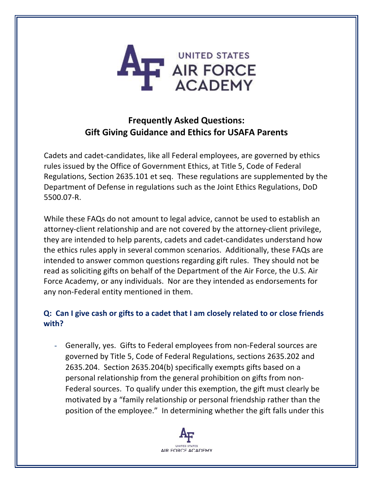

# **Frequently Asked Questions: Gift Giving Guidance and Ethics for USAFA Parents**

Cadets and cadet-candidates, like all Federal employees, are governed by ethics rules issued by the Office of Government Ethics, at Title 5, Code of Federal Regulations, Section 2635.101 et seq. These regulations are supplemented by the Department of Defense in regulations such as the Joint Ethics Regulations, DoD 5500.07-R.

While these FAQs do not amount to legal advice, cannot be used to establish an attorney-client relationship and are not covered by the attorney-client privilege, they are intended to help parents, cadets and cadet-candidates understand how the ethics rules apply in several common scenarios. Additionally, these FAQs are intended to answer common questions regarding gift rules. They should not be read as soliciting gifts on behalf of the Department of the Air Force, the U.S. Air Force Academy, or any individuals. Nor are they intended as endorsements for any non-Federal entity mentioned in them.

# **Q: Can I give cash or gifts to a cadet that I am closely related to or close friends with?**

- Generally, yes. Gifts to Federal employees from non-Federal sources are governed by Title 5, Code of Federal Regulations, sections 2635.202 and 2635.204. Section 2635.204(b) specifically exempts gifts based on a personal relationship from the general prohibition on gifts from non-Federal sources. To qualify under this exemption, the gift must clearly be motivated by a "family relationship or personal friendship rather than the position of the employee." In determining whether the gift falls under this

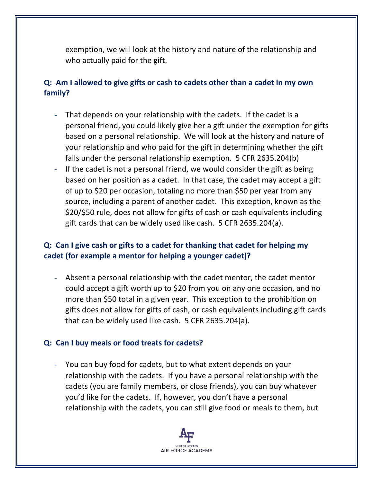exemption, we will look at the history and nature of the relationship and who actually paid for the gift.

### **Q: Am I allowed to give gifts or cash to cadets other than a cadet in my own family?**

- That depends on your relationship with the cadets. If the cadet is a personal friend, you could likely give her a gift under the exemption for gifts based on a personal relationship. We will look at the history and nature of your relationship and who paid for the gift in determining whether the gift falls under the personal relationship exemption. 5 CFR 2635.204(b)
- If the cadet is not a personal friend, we would consider the gift as being based on her position as a cadet. In that case, the cadet may accept a gift of up to \$20 per occasion, totaling no more than \$50 per year from any source, including a parent of another cadet. This exception, known as the \$20/\$50 rule, does not allow for gifts of cash or cash equivalents including gift cards that can be widely used like cash. 5 CFR 2635.204(a).

# **Q: Can I give cash or gifts to a cadet for thanking that cadet for helping my cadet (for example a mentor for helping a younger cadet)?**

- Absent a personal relationship with the cadet mentor, the cadet mentor could accept a gift worth up to \$20 from you on any one occasion, and no more than \$50 total in a given year. This exception to the prohibition on gifts does not allow for gifts of cash, or cash equivalents including gift cards that can be widely used like cash. 5 CFR 2635.204(a).

#### **Q: Can I buy meals or food treats for cadets?**

You can buy food for cadets, but to what extent depends on your relationship with the cadets. If you have a personal relationship with the cadets (you are family members, or close friends), you can buy whatever you'd like for the cadets. If, however, you don't have a personal relationship with the cadets, you can still give food or meals to them, but

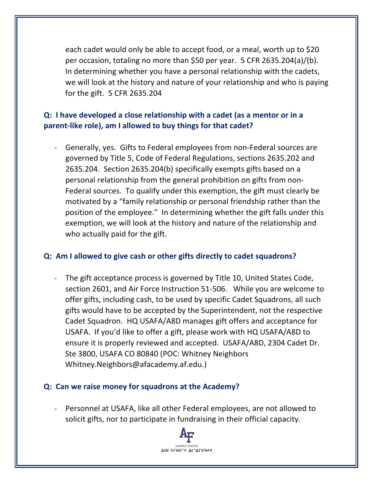each cadet would only be able to accept food, or a meal, worth up to \$20 per occasion, totaling no more than \$50 per year. 5 CFR 2635.204(a)/(b). In determining whether you have a personal relationship with the cadets, we will look at the history and nature of your relationship and who is paying for the gift. 5 CFR 2635.204

# **Q: I have developed a close relationship with a cadet (as a mentor or in a parent-like role), am I allowed to buy things for that cadet?**

- Generally, yes. Gifts to Federal employees from non-Federal sources are governed by Title 5, Code of Federal Regulations, sections 2635.202 and 2635.204. Section 2635.204(b) specifically exempts gifts based on a personal relationship from the general prohibition on gifts from non-Federal sources. To qualify under this exemption, the gift must clearly be motivated by a "family relationship or personal friendship rather than the position of the employee." In determining whether the gift falls under this exemption, we will look at the history and nature of the relationship and who actually paid for the gift.

#### **Q: Am I allowed to give cash or other gifts directly to cadet squadrons?**

The gift acceptance process is governed by Title 10, United States Code, section 2601, and Air Force Instruction 51-506. While you are welcome to offer gifts, including cash, to be used by specific Cadet Squadrons, all such gifts would have to be accepted by the Superintendent, not the respective Cadet Squadron. HQ USAFA/A8D manages gift offers and acceptance for USAFA. If you'd like to offer a gift, please work with HQ USAFA/A8D to ensure it is properly reviewed and accepted. USAFA/A8D, 2304 Cadet Dr. Ste 3800, USAFA CO 80840 (POC: Whitney Neighbors Whitney.Neighbors@afacademy.af.edu.)

#### **Q: Can we raise money for squadrons at the Academy?**

- Personnel at USAFA, like all other Federal employees, are not allowed to solicit gifts, nor to participate in fundraising in their official capacity.

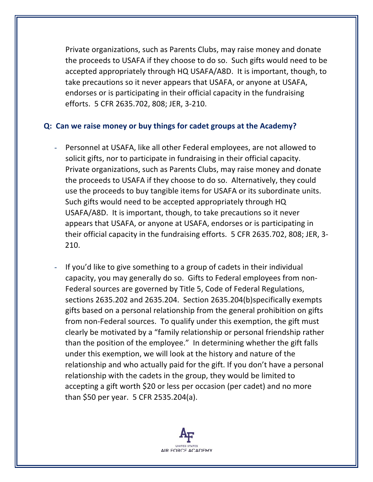Private organizations, such as Parents Clubs, may raise money and donate the proceeds to USAFA if they choose to do so. Such gifts would need to be accepted appropriately through HQ USAFA/A8D. It is important, though, to take precautions so it never appears that USAFA, or anyone at USAFA, endorses or is participating in their official capacity in the fundraising efforts. 5 CFR 2635.702, 808; JER, 3-210.

#### **Q: Can we raise money or buy things for cadet groups at the Academy?**

- Personnel at USAFA, like all other Federal employees, are not allowed to solicit gifts, nor to participate in fundraising in their official capacity. Private organizations, such as Parents Clubs, may raise money and donate the proceeds to USAFA if they choose to do so. Alternatively, they could use the proceeds to buy tangible items for USAFA or its subordinate units. Such gifts would need to be accepted appropriately through HQ USAFA/A8D. It is important, though, to take precautions so it never appears that USAFA, or anyone at USAFA, endorses or is participating in their official capacity in the fundraising efforts. 5 CFR 2635.702, 808; JER, 3- 210.
- If you'd like to give something to a group of cadets in their individual capacity, you may generally do so. Gifts to Federal employees from non-Federal sources are governed by Title 5, Code of Federal Regulations, sections 2635.202 and 2635.204. Section 2635.204(b)specifically exempts gifts based on a personal relationship from the general prohibition on gifts from non-Federal sources. To qualify under this exemption, the gift must clearly be motivated by a "family relationship or personal friendship rather than the position of the employee." In determining whether the gift falls under this exemption, we will look at the history and nature of the relationship and who actually paid for the gift. If you don't have a personal relationship with the cadets in the group, they would be limited to accepting a gift worth \$20 or less per occasion (per cadet) and no more than \$50 per year. 5 CFR 2535.204(a).

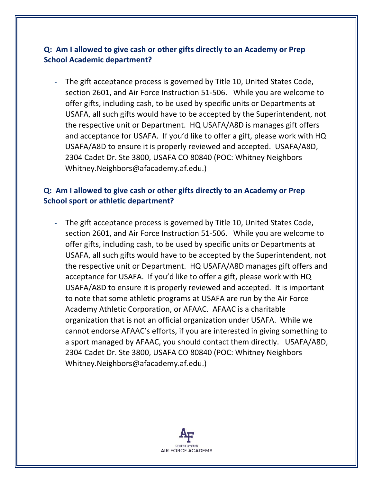# **Q: Am I allowed to give cash or other gifts directly to an Academy or Prep School Academic department?**

The gift acceptance process is governed by Title 10, United States Code, section 2601, and Air Force Instruction 51-506. While you are welcome to offer gifts, including cash, to be used by specific units or Departments at USAFA, all such gifts would have to be accepted by the Superintendent, not the respective unit or Department. HQ USAFA/A8D is manages gift offers and acceptance for USAFA. If you'd like to offer a gift, please work with HQ USAFA/A8D to ensure it is properly reviewed and accepted. USAFA/A8D, 2304 Cadet Dr. Ste 3800, USAFA CO 80840 (POC: Whitney Neighbors Whitney.Neighbors@afacademy.af.edu.)

#### **Q: Am I allowed to give cash or other gifts directly to an Academy or Prep School sport or athletic department?**

The gift acceptance process is governed by Title 10, United States Code, section 2601, and Air Force Instruction 51-506. While you are welcome to offer gifts, including cash, to be used by specific units or Departments at USAFA, all such gifts would have to be accepted by the Superintendent, not the respective unit or Department. HQ USAFA/A8D manages gift offers and acceptance for USAFA. If you'd like to offer a gift, please work with HQ USAFA/A8D to ensure it is properly reviewed and accepted. It is important to note that some athletic programs at USAFA are run by the Air Force Academy Athletic Corporation, or AFAAC. AFAAC is a charitable organization that is not an official organization under USAFA. While we cannot endorse AFAAC's efforts, if you are interested in giving something to a sport managed by AFAAC, you should contact them directly. USAFA/A8D, 2304 Cadet Dr. Ste 3800, USAFA CO 80840 (POC: Whitney Neighbors Whitney.Neighbors@afacademy.af.edu.)

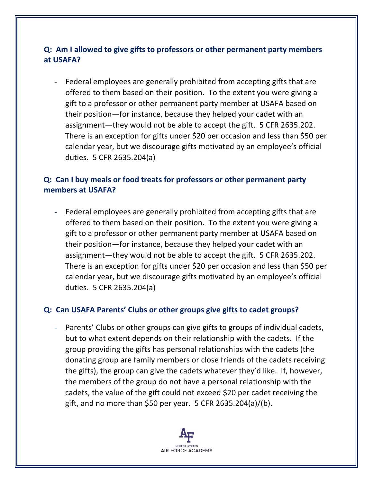# **Q: Am I allowed to give gifts to professors or other permanent party members at USAFA?**

- Federal employees are generally prohibited from accepting gifts that are offered to them based on their position. To the extent you were giving a gift to a professor or other permanent party member at USAFA based on their position—for instance, because they helped your cadet with an assignment—they would not be able to accept the gift. 5 CFR 2635.202. There is an exception for gifts under \$20 per occasion and less than \$50 per calendar year, but we discourage gifts motivated by an employee's official duties. 5 CFR 2635.204(a)

# **Q: Can I buy meals or food treats for professors or other permanent party members at USAFA?**

- Federal employees are generally prohibited from accepting gifts that are offered to them based on their position. To the extent you were giving a gift to a professor or other permanent party member at USAFA based on their position—for instance, because they helped your cadet with an assignment—they would not be able to accept the gift. 5 CFR 2635.202. There is an exception for gifts under \$20 per occasion and less than \$50 per calendar year, but we discourage gifts motivated by an employee's official duties. 5 CFR 2635.204(a)

#### **Q: Can USAFA Parents' Clubs or other groups give gifts to cadet groups?**

- Parents' Clubs or other groups can give gifts to groups of individual cadets, but to what extent depends on their relationship with the cadets. If the group providing the gifts has personal relationships with the cadets (the donating group are family members or close friends of the cadets receiving the gifts), the group can give the cadets whatever they'd like. If, however, the members of the group do not have a personal relationship with the cadets, the value of the gift could not exceed \$20 per cadet receiving the gift, and no more than \$50 per year. 5 CFR 2635.204(a)/(b).

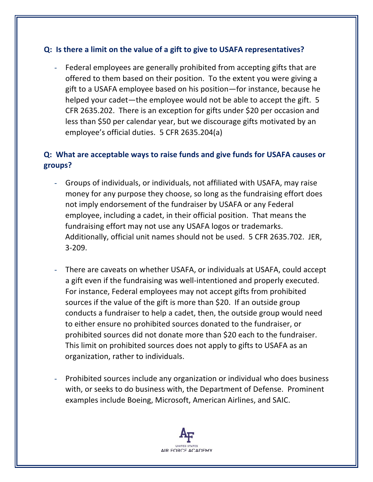#### **Q: Is there a limit on the value of a gift to give to USAFA representatives?**

- Federal employees are generally prohibited from accepting gifts that are offered to them based on their position. To the extent you were giving a gift to a USAFA employee based on his position—for instance, because he helped your cadet—the employee would not be able to accept the gift. 5 CFR 2635.202. There is an exception for gifts under \$20 per occasion and less than \$50 per calendar year, but we discourage gifts motivated by an employee's official duties. 5 CFR 2635.204(a)

# **Q: What are acceptable ways to raise funds and give funds for USAFA causes or groups?**

- Groups of individuals, or individuals, not affiliated with USAFA, may raise money for any purpose they choose, so long as the fundraising effort does not imply endorsement of the fundraiser by USAFA or any Federal employee, including a cadet, in their official position. That means the fundraising effort may not use any USAFA logos or trademarks. Additionally, official unit names should not be used. 5 CFR 2635.702. JER, 3-209.
- There are caveats on whether USAFA, or individuals at USAFA, could accept a gift even if the fundraising was well-intentioned and properly executed. For instance, Federal employees may not accept gifts from prohibited sources if the value of the gift is more than \$20. If an outside group conducts a fundraiser to help a cadet, then, the outside group would need to either ensure no prohibited sources donated to the fundraiser, or prohibited sources did not donate more than \$20 each to the fundraiser. This limit on prohibited sources does not apply to gifts to USAFA as an organization, rather to individuals.
- Prohibited sources include any organization or individual who does business with, or seeks to do business with, the Department of Defense. Prominent examples include Boeing, Microsoft, American Airlines, and SAIC.

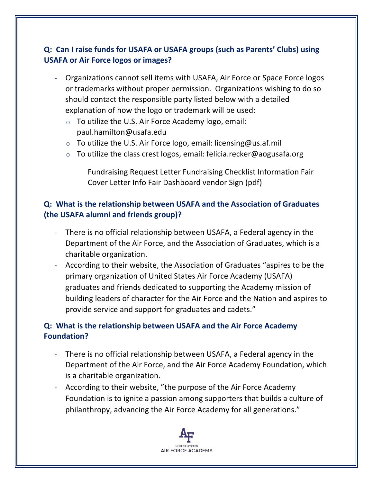# **Q: Can I raise funds for USAFA or USAFA groups (such as Parents' Clubs) using USAFA or Air Force logos or images?**

- Organizations cannot sell items with USAFA, Air Force or Space Force logos or trademarks without proper permission. Organizations wishing to do so should contact the responsible party listed below with a detailed explanation of how the logo or trademark will be used:
	- $\circ$  To utilize the U.S. Air Force Academy logo, email: paul.hamilton@usafa.edu
	- $\circ$  To utilize the U.S. Air Force logo, email: licensing@us.af.mil
	- $\circ$  To utilize the class crest logos, email: felicia.recker@aogusafa.org

Fundraising Request Letter Fundraising Checklist Information Fair Cover Letter Info Fair Dashboard vendor Sign (pdf)

# **Q: What is the relationship between USAFA and the Association of Graduates (the USAFA alumni and friends group)?**

- There is no official relationship between USAFA, a Federal agency in the Department of the Air Force, and the Association of Graduates, which is a charitable organization.
- According to their website, the Association of Graduates "aspires to be the primary organization of United States Air Force Academy (USAFA) graduates and friends dedicated to supporting the Academy mission of building leaders of character for the Air Force and the Nation and aspires to provide service and support for graduates and cadets."

# **Q: What is the relationship between USAFA and the Air Force Academy Foundation?**

- There is no official relationship between USAFA, a Federal agency in the Department of the Air Force, and the Air Force Academy Foundation, which is a charitable organization.
- According to their website, "the purpose of the Air Force Academy Foundation is to ignite a passion among supporters that builds a culture of philanthropy, advancing the Air Force Academy for all generations."

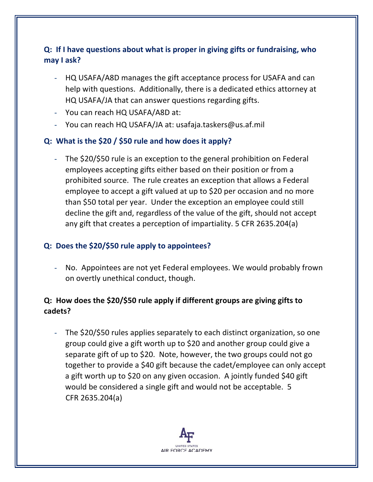# **Q: If I have questions about what is proper in giving gifts or fundraising, who may I ask?**

- HQ USAFA/A8D manages the gift acceptance process for USAFA and can help with questions. Additionally, there is a dedicated ethics attorney at HQ USAFA/JA that can answer questions regarding gifts.
- You can reach HQ USAFA/A8D at:
- You can reach HQ USAFA/JA at: usafaja.taskers@us.af.mil

#### **Q: What is the \$20 / \$50 rule and how does it apply?**

The \$20/\$50 rule is an exception to the general prohibition on Federal employees accepting gifts either based on their position or from a prohibited source. The rule creates an exception that allows a Federal employee to accept a gift valued at up to \$20 per occasion and no more than \$50 total per year. Under the exception an employee could still decline the gift and, regardless of the value of the gift, should not accept any gift that creates a perception of impartiality. 5 CFR 2635.204(a)

#### **Q: Does the \$20/\$50 rule apply to appointees?**

- No. Appointees are not yet Federal employees. We would probably frown on overtly unethical conduct, though.

# **Q: How does the \$20/\$50 rule apply if different groups are giving gifts to cadets?**

The \$20/\$50 rules applies separately to each distinct organization, so one group could give a gift worth up to \$20 and another group could give a separate gift of up to \$20. Note, however, the two groups could not go together to provide a \$40 gift because the cadet/employee can only accept a gift worth up to \$20 on any given occasion. A jointly funded \$40 gift would be considered a single gift and would not be acceptable. 5 CFR 2635.204(a)